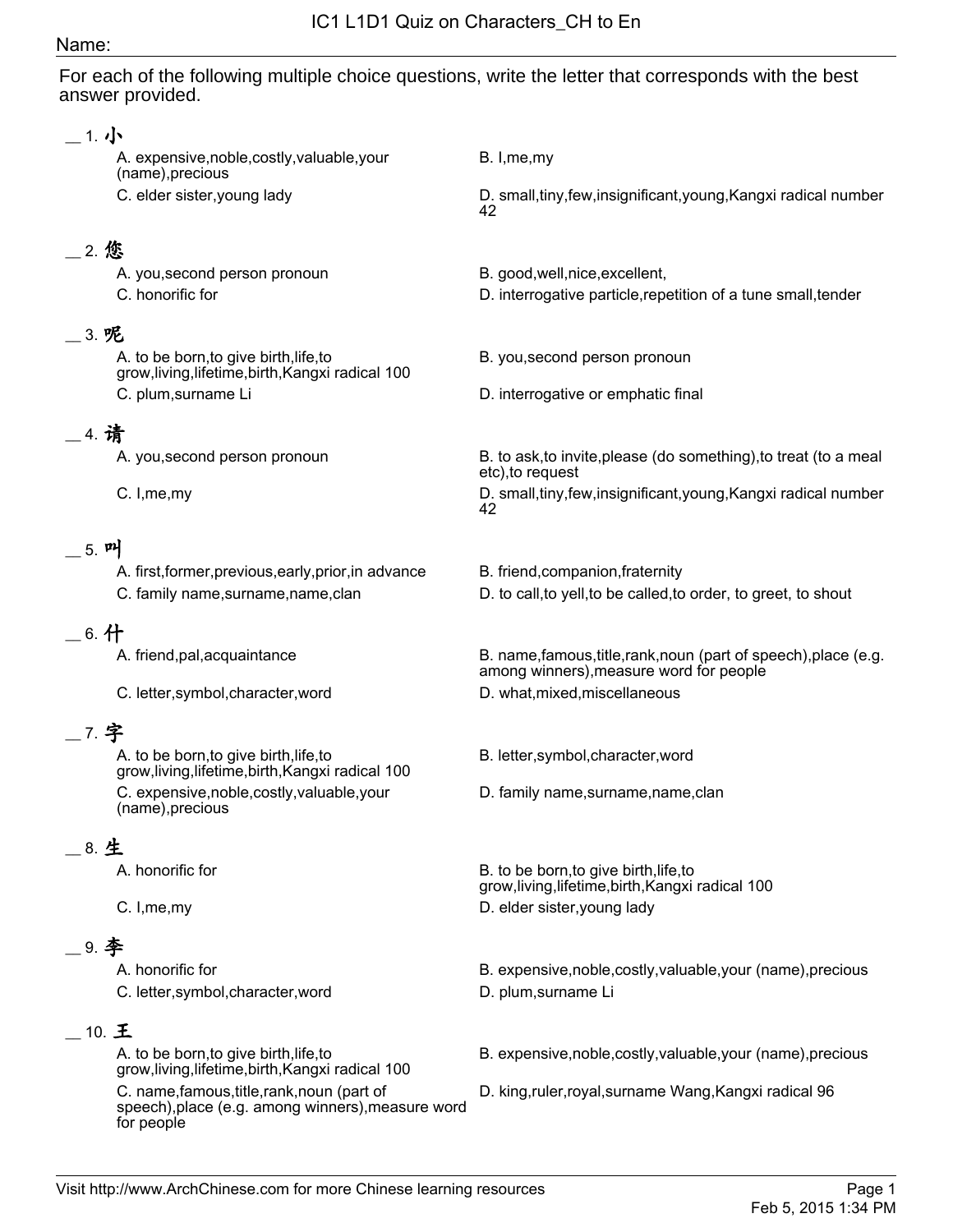#### Name:

For each of the following multiple choice questions, write the letter that corresponds with the best answer provided.

### \_\_ 1. 小

A. expensive,noble,costly,valuable,your (name),precious

## \_\_ 2. 您

A. you,second person pronoun B. good,well,nice,excellent,

## \_\_ 3. 呢

A. to be born,to give birth,life,to grow,living,lifetime,birth,Kangxi radical 100 C. plum,surname Li D. interrogative or emphatic final

## \_\_ 4. 请

## 5. 머

A. first,former,previous,early,prior,in advance B. friend,companion,fraternity

## $\_$  6. 什

C. letter,symbol,character,word D. what,mixed,miscellaneous

# \_\_ 7. 字

A. to be born,to give birth,life,to grow,living,lifetime,birth,Kangxi radical 100 C. expensive,noble,costly,valuable,your (name),precious

## \_\_ 8. 生

## \_\_ 9. 李

C. letter, symbol, character, word b. plum, surname Li

### $_10.$   $E$

A. to be born,to give birth,life,to grow,living,lifetime,birth,Kangxi radical 100

C. name,famous,title,rank,noun (part of speech),place (e.g. among winners),measure word for people

B. I,me,my

C. elder sister,young lady entitled and the D. small,tiny,few,insignificant,young,Kangxi radical number 42

- 
- C. honorific for D. interrogative particle,repetition of a tune small,tender
	- B. you,second person pronoun
	-

A. you, second person pronoun B. to ask, to invite, please (do something), to treat (to a meal etc),to request

C. I, me, my example and the control of the small, tiny, few, insignificant, young, Kangxi radical number 42

- 
- C. family name,surname,name,clan D. to call,to yell,to be called,to order, to greet, to shout

A. friend,pal,acquaintance and B. name,famous,title,rank,noun (part of speech),place (e.g. among winners),measure word for people

B. letter,symbol,character,word

D. family name,surname,name,clan

A. honorific for **B. to be born,to give birth, life,to** grow,living,lifetime,birth,Kangxi radical 100 C. I, me, my D. elder sister, young lady

A. honorific for **B. expensive,noble,costly,valuable,your (name),precious** B. expensive,noble,costly,valuable,your (name),precious

B. expensive,noble,costly,valuable,your (name),precious

D. king,ruler,royal,surname Wang,Kangxi radical 96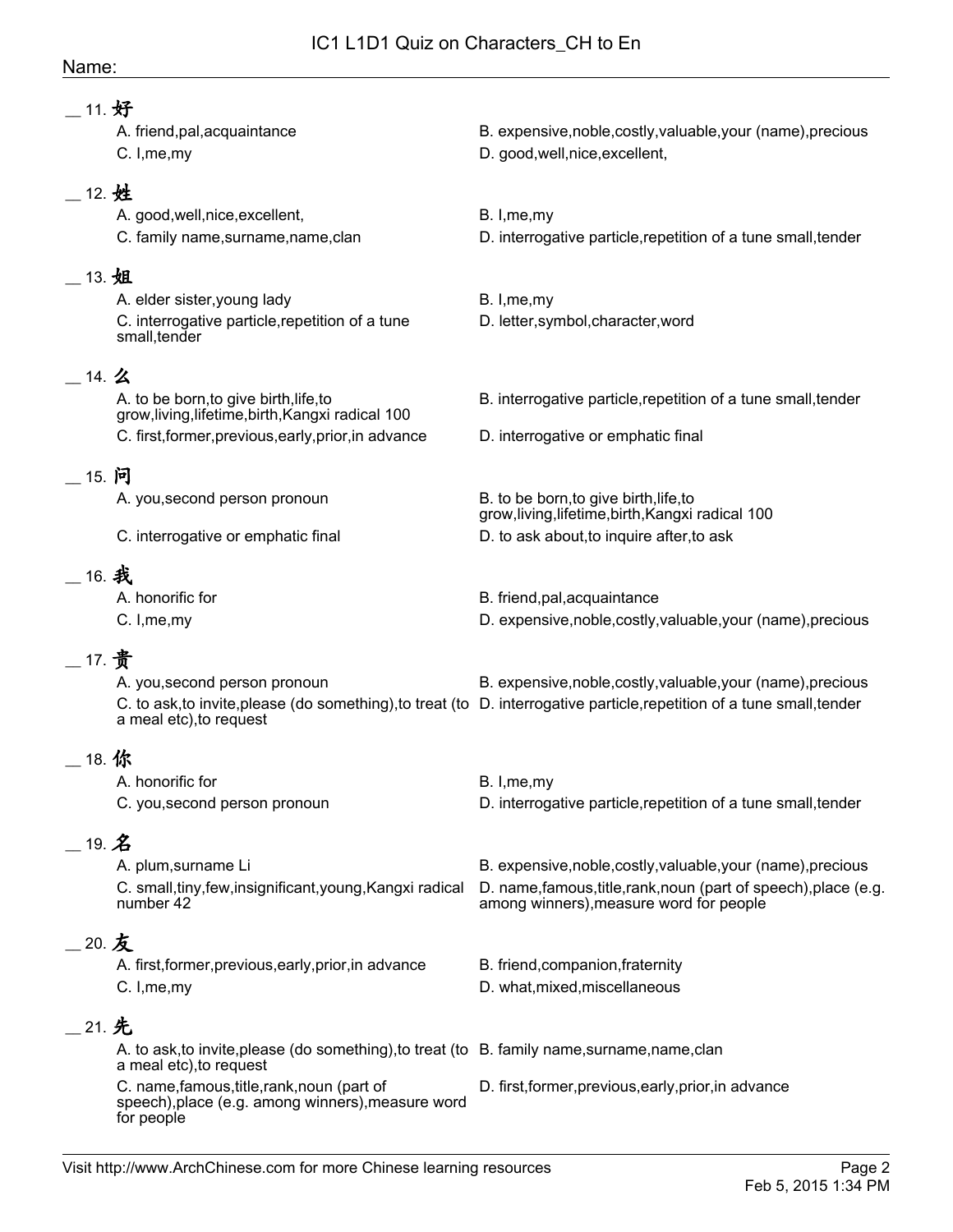### Name:

| 11. 好         |                                                                                                                          |                                                                                                                         |
|---------------|--------------------------------------------------------------------------------------------------------------------------|-------------------------------------------------------------------------------------------------------------------------|
|               | A. friend, pal, acquaintance<br>C. I, me, my                                                                             | B. expensive, noble, costly, valuable, your (name), precious<br>D. good, well, nice, excellent,                         |
| __ 12. 姓      |                                                                                                                          |                                                                                                                         |
|               | A. good, well, nice, excellent,<br>C. family name, surname, name, clan                                                   | B. I, me, my<br>D. interrogative particle, repetition of a tune small, tender                                           |
| 13. 姐         |                                                                                                                          |                                                                                                                         |
|               | A. elder sister, young lady                                                                                              | B. I, me, my                                                                                                            |
|               | C. interrogative particle, repetition of a tune<br>small, tender                                                         | D. letter, symbol, character, word                                                                                      |
| $-$ 14. 么     |                                                                                                                          |                                                                                                                         |
|               | A. to be born, to give birth, life, to<br>grow, living, lifetime, birth, Kangxi radical 100                              | B. interrogative particle, repetition of a tune small, tender                                                           |
|               | C. first, former, previous, early, prior, in advance                                                                     | D. interrogative or emphatic final                                                                                      |
| - 15. 问       |                                                                                                                          |                                                                                                                         |
|               | A. you, second person pronoun                                                                                            | B. to be born, to give birth, life, to                                                                                  |
|               |                                                                                                                          | grow, living, lifetime, birth, Kangxi radical 100                                                                       |
|               | C. interrogative or emphatic final                                                                                       | D. to ask about, to inquire after, to ask                                                                               |
| _16. 我        |                                                                                                                          |                                                                                                                         |
|               | A. honorific for                                                                                                         | B. friend, pal, acquaintance                                                                                            |
|               | C. I, me, my                                                                                                             | D. expensive, noble, costly, valuable, your (name), precious                                                            |
| __ 17. 贵      |                                                                                                                          |                                                                                                                         |
|               | A. you, second person pronoun                                                                                            | B. expensive, noble, costly, valuable, your (name), precious                                                            |
|               | a meal etc), to request                                                                                                  | C. to ask, to invite, please (do something), to treat (to D. interrogative particle, repetition of a tune small, tender |
|               |                                                                                                                          |                                                                                                                         |
| 18. 你         | A. honorific for                                                                                                         | B. I, me, my                                                                                                            |
|               | C. you, second person pronoun                                                                                            | D. interrogative particle, repetition of a tune small, tender                                                           |
|               |                                                                                                                          |                                                                                                                         |
| 19. $\hat{Z}$ |                                                                                                                          |                                                                                                                         |
|               | A. plum, surname Li                                                                                                      | B. expensive, noble, costly, valuable, your (name), precious                                                            |
|               | C. small, tiny, few, insignificant, young, Kangxi radical<br>number 42                                                   | D. name, famous, title, rank, noun (part of speech), place (e.g.<br>among winners), measure word for people             |
| _20. 友        |                                                                                                                          |                                                                                                                         |
|               | A. first, former, previous, early, prior, in advance                                                                     | B. friend, companion, fraternity                                                                                        |
|               | C. I, me, my                                                                                                             | D. what, mixed, miscellaneous                                                                                           |
| __21. 先       |                                                                                                                          |                                                                                                                         |
|               | A. to ask, to invite, please (do something), to treat (to B. family name, surname, name, clan<br>a meal etc), to request |                                                                                                                         |
|               | C. name, famous, title, rank, noun (part of<br>speech), place (e.g. among winners), measure word<br>for people           | D. first, former, previous, early, prior, in advance                                                                    |
|               |                                                                                                                          |                                                                                                                         |